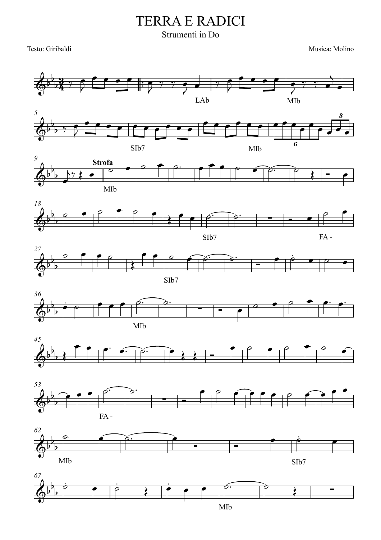## TERRA E RADICI

## Strumenti in Do

Testo: Giribaldi Musica: Molino